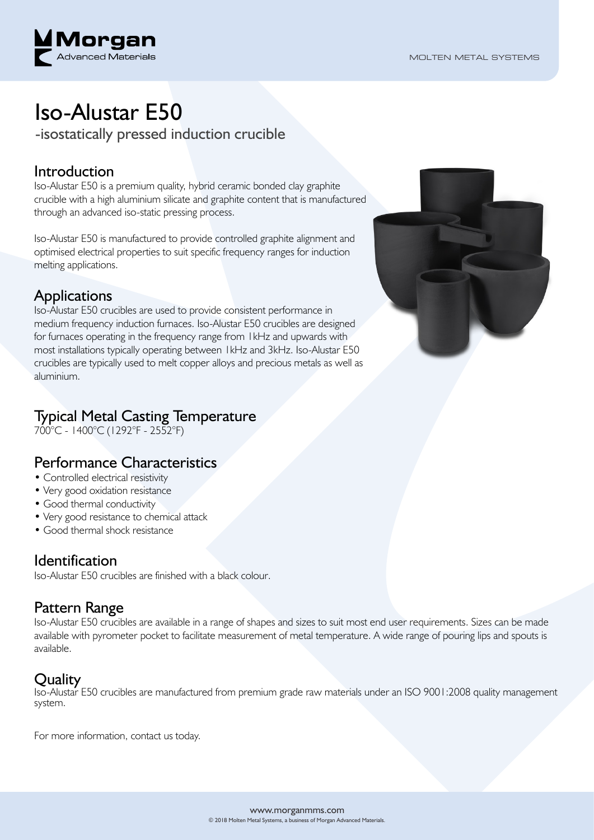

# Iso-Alustar E50

-isostatically pressed induction crucible

### Introduction

Iso-Alustar E50 is a premium quality, hybrid ceramic bonded clay graphite crucible with a high aluminium silicate and graphite content that is manufactured through an advanced iso-static pressing process.

Iso-Alustar E50 is manufactured to provide controlled graphite alignment and optimised electrical properties to suit specific frequency ranges for induction melting applications.

### Applications

Iso-Alustar E50 crucibles are used to provide consistent performance in medium frequency induction furnaces. Iso-Alustar E50 crucibles are designed for furnaces operating in the frequency range from 1kHz and upwards with most installations typically operating between 1kHz and 3kHz. Iso-Alustar E50 crucibles are typically used to melt copper alloys and precious metals as well as aluminium.

## Typical Metal Casting Temperature

700°C - 1400°C (1292°F - 2552°F)

### Performance Characteristics

- Controlled electrical resistivity
- Very good oxidation resistance
- Good thermal conductivity
- Very good resistance to chemical attack
- Good thermal shock resistance

#### **Identification**

Iso-Alustar E50 crucibles are finished with a black colour.

## Pattern Range

Iso-Alustar E50 crucibles are available in a range of shapes and sizes to suit most end user requirements. Sizes can be made available with pyrometer pocket to facilitate measurement of metal temperature. A wide range of pouring lips and spouts is available.

# **Ouality**

Iso-Alustar E50 crucibles are manufactured from premium grade raw materials under an ISO 9001:2008 quality management system.

For more information, contact us today.